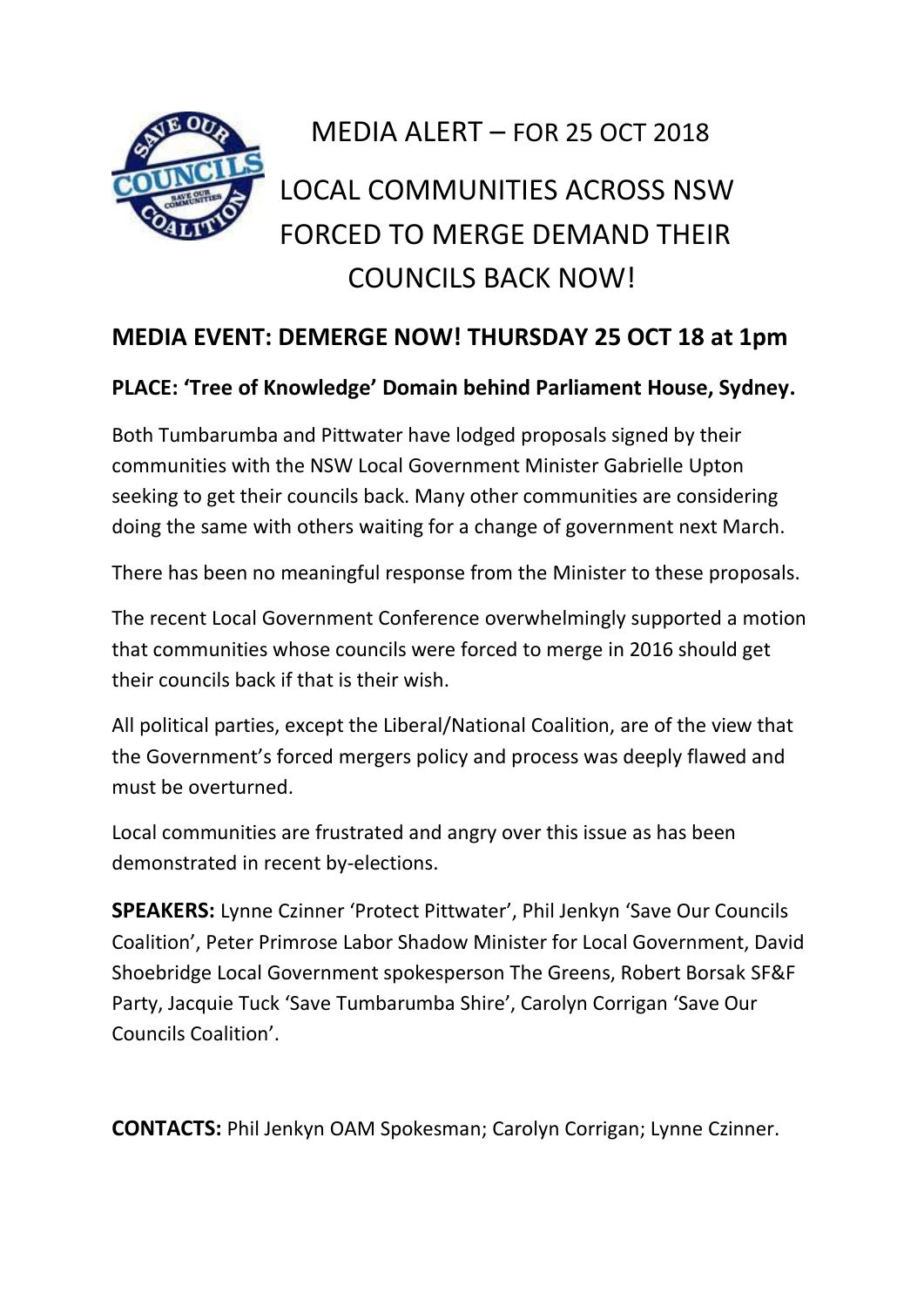

## MEDIA ALERT – FOR 25 OCT 2018 LOCAL COMMUNITIES ACROSS NSW FORCED TO MERGE DEMAND THEIR COUNCILS BACK NOW!

## **MEDIA EVENT: DEMERGE NOW! THURSDAY 25 OCT 18 at 1pm**

## **PLACE: 'Tree of Knowledge' Domain behind Parliament House, Sydney.**

Both Tumbarumba and Pittwater have lodged proposals signed by their communities with the NSW Local Government Minister Gabrielle Upton seeking to get their councils back. Many other communities are considering doing the same with others waiting for a change of government next March.

There has been no meaningful response from the Minister to these proposals.

The recent Local Government Conference overwhelmingly supported a motion that communities whose councils were forced to merge in 2016 should get their councils back if that is their wish.

All political parties, except the Liberal/National Coalition, are of the view that the Government's forced mergers policy and process was deeply flawed and must be overturned.

Local communities are frustrated and angry over this issue as has been demonstrated in recent by-elections.

**SPEAKERS:** Lynne Czinner 'Protect Pittwater', Phil Jenkyn 'Save Our Councils Coalition', Peter Primrose Labor Shadow Minister for Local Government, David Shoebridge Local Government spokesperson The Greens, Robert Borsak SF&F Party, Jacquie Tuck 'Save Tumbarumba Shire', Carolyn Corrigan 'Save Our Councils Coalition'.

**CONTACTS:** Phil Jenkyn OAM Spokesman; Carolyn Corrigan; Lynne Czinner.